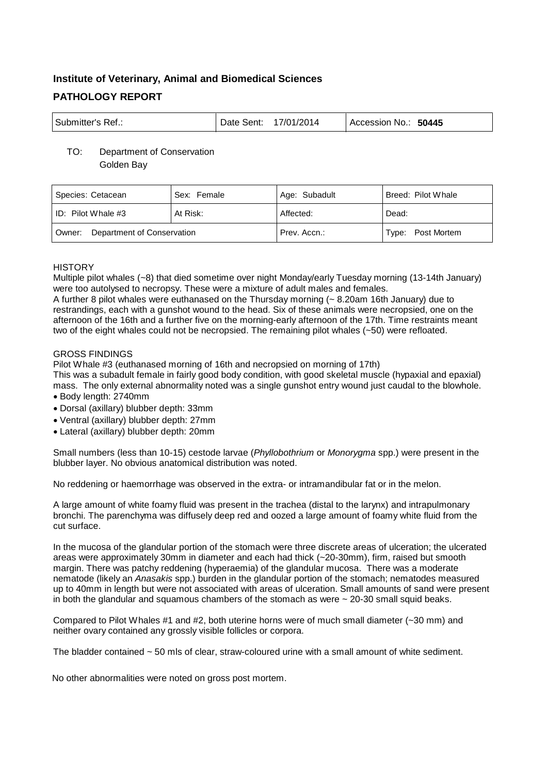# **Institute of Veterinary, Animal and Biomedical Sciences PATHOLOGY REPORT**

| <sup>l</sup> Submitter's Ref.:<br>Date Sent: | 17/01/2014 | Accession No.: 50445 |
|----------------------------------------------|------------|----------------------|
|----------------------------------------------|------------|----------------------|

## TO: Department of Conservation Golden Bay

| Species: Cetacean                    | Sex: Female | Age: Subadult | Breed: Pilot Whale |
|--------------------------------------|-------------|---------------|--------------------|
| ID: Pilot Whale $#3$                 | At Risk:    | Affected:     | Dead:              |
| Department of Conservation<br>Owner: |             | Prev. Accn.:  | Type: Post Mortem  |

# **HISTORY**

Multiple pilot whales (~8) that died sometime over night Monday/early Tuesday morning (13-14th January) were too autolysed to necropsy. These were a mixture of adult males and females.

A further 8 pilot whales were euthanased on the Thursday morning (~ 8.20am 16th January) due to restrandings, each with a gunshot wound to the head. Six of these animals were necropsied, one on the afternoon of the 16th and a further five on the morning-early afternoon of the 17th. Time restraints meant two of the eight whales could not be necropsied. The remaining pilot whales (~50) were refloated.

# GROSS FINDINGS

Pilot Whale #3 (euthanased morning of 16th and necropsied on morning of 17th)

This was a subadult female in fairly good body condition, with good skeletal muscle (hypaxial and epaxial) mass. The only external abnormality noted was a single gunshot entry wound just caudal to the blowhole.

- Body length: 2740mm
- Dorsal (axillary) blubber depth: 33mm
- Ventral (axillary) blubber depth: 27mm
- Lateral (axillary) blubber depth: 20mm

Small numbers (less than 10-15) cestode larvae (*Phyllobothrium* or *Monorygma* spp.) were present in the blubber layer. No obvious anatomical distribution was noted.

No reddening or haemorrhage was observed in the extra- or intramandibular fat or in the melon.

A large amount of white foamy fluid was present in the trachea (distal to the larynx) and intrapulmonary bronchi. The parenchyma was diffusely deep red and oozed a large amount of foamy white fluid from the cut surface.

In the mucosa of the glandular portion of the stomach were three discrete areas of ulceration; the ulcerated areas were approximately 30mm in diameter and each had thick (~20-30mm), firm, raised but smooth margin. There was patchy reddening (hyperaemia) of the glandular mucosa. There was a moderate nematode (likely an *Anasakis* spp.) burden in the glandular portion of the stomach; nematodes measured up to 40mm in length but were not associated with areas of ulceration. Small amounts of sand were present in both the glandular and squamous chambers of the stomach as were  $\sim$  20-30 small squid beaks.

Compared to Pilot Whales #1 and #2, both uterine horns were of much small diameter (~30 mm) and neither ovary contained any grossly visible follicles or corpora.

The bladder contained ~ 50 mls of clear, straw-coloured urine with a small amount of white sediment.

No other abnormalities were noted on gross post mortem.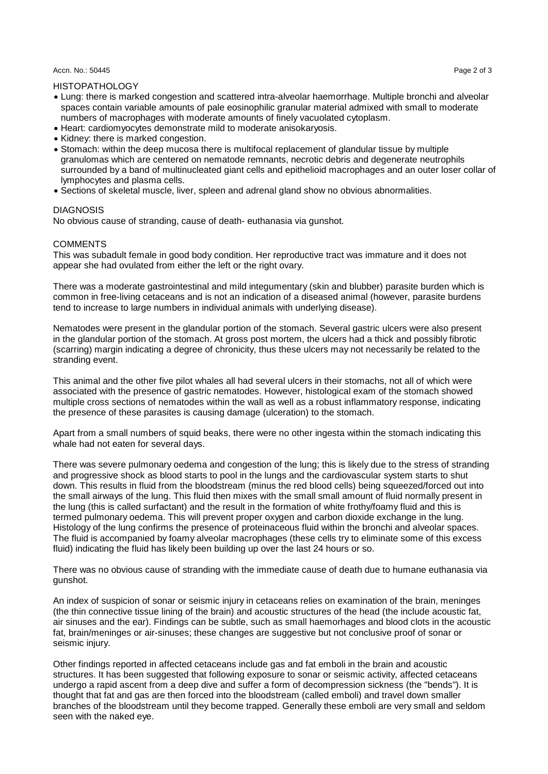#### Accn. No.: 50445 Page 2 of 3

# HISTOPATHOLOGY

- Lung: there is marked congestion and scattered intra-alveolar haemorrhage. Multiple bronchi and alveolar spaces contain variable amounts of pale eosinophilic granular material admixed with small to moderate numbers of macrophages with moderate amounts of finely vacuolated cytoplasm.
- Heart: cardiomyocytes demonstrate mild to moderate anisokaryosis.
- Kidney: there is marked congestion.
- Stomach: within the deep mucosa there is multifocal replacement of glandular tissue by multiple granulomas which are centered on nematode remnants, necrotic debris and degenerate neutrophils surrounded by a band of multinucleated giant cells and epithelioid macrophages and an outer loser collar of lymphocytes and plasma cells.
- Sections of skeletal muscle, liver, spleen and adrenal gland show no obvious abnormalities.

## **DIAGNOSIS**

No obvious cause of stranding, cause of death- euthanasia via gunshot.

## **COMMENTS**

This was subadult female in good body condition. Her reproductive tract was immature and it does not appear she had ovulated from either the left or the right ovary.

There was a moderate gastrointestinal and mild integumentary (skin and blubber) parasite burden which is common in free-living cetaceans and is not an indication of a diseased animal (however, parasite burdens tend to increase to large numbers in individual animals with underlying disease).

Nematodes were present in the glandular portion of the stomach. Several gastric ulcers were also present in the glandular portion of the stomach. At gross post mortem, the ulcers had a thick and possibly fibrotic (scarring) margin indicating a degree of chronicity, thus these ulcers may not necessarily be related to the stranding event.

This animal and the other five pilot whales all had several ulcers in their stomachs, not all of which were associated with the presence of gastric nematodes. However, histological exam of the stomach showed multiple cross sections of nematodes within the wall as well as a robust inflammatory response, indicating the presence of these parasites is causing damage (ulceration) to the stomach.

Apart from a small numbers of squid beaks, there were no other ingesta within the stomach indicating this whale had not eaten for several days.

There was severe pulmonary oedema and congestion of the lung; this is likely due to the stress of stranding and progressive shock as blood starts to pool in the lungs and the cardiovascular system starts to shut down. This results in fluid from the bloodstream (minus the red blood cells) being squeezed/forced out into the small airways of the lung. This fluid then mixes with the small small amount of fluid normally present in the lung (this is called surfactant) and the result in the formation of white frothy/foamy fluid and this is termed pulmonary oedema. This will prevent proper oxygen and carbon dioxide exchange in the lung. Histology of the lung confirms the presence of proteinaceous fluid within the bronchi and alveolar spaces. The fluid is accompanied by foamy alveolar macrophages (these cells try to eliminate some of this excess fluid) indicating the fluid has likely been building up over the last 24 hours or so.

There was no obvious cause of stranding with the immediate cause of death due to humane euthanasia via gunshot.

An index of suspicion of sonar or seismic injury in cetaceans relies on examination of the brain, meninges (the thin connective tissue lining of the brain) and acoustic structures of the head (the include acoustic fat, air sinuses and the ear). Findings can be subtle, such as small haemorhages and blood clots in the acoustic fat, brain/meninges or air-sinuses; these changes are suggestive but not conclusive proof of sonar or seismic injury.

Other findings reported in affected cetaceans include gas and fat emboli in the brain and acoustic structures. It has been suggested that following exposure to sonar or seismic activity, affected cetaceans undergo a rapid ascent from a deep dive and suffer a form of decompression sickness (the "bends"). It is thought that fat and gas are then forced into the bloodstream (called emboli) and travel down smaller branches of the bloodstream until they become trapped. Generally these emboli are very small and seldom seen with the naked eye.